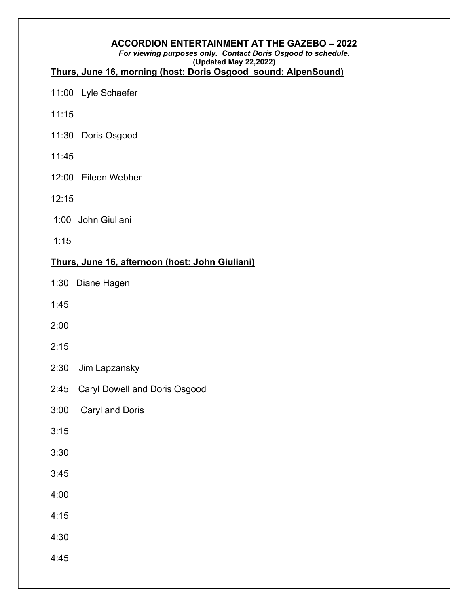#### ACCORDION ENTERTAINMENT AT THE GAZEBO – 2022

#### For viewing purposes only. Contact Doris Osgood to schedule. (Updated May 22,2022)

#### Thurs, June 16, morning (host: Doris Osgood sound: AlpenSound)

- 11:00 Lyle Schaefer
- 11:15
- 11:30 Doris Osgood
- 11:45
- 12:00 Eileen Webber
- 12:15
- 1:00 John Giuliani
- 1:15

### Thurs, June 16, afternoon (host: John Giuliani)

- 1:30 Diane Hagen
- 1:45
- 2:00
- 2:15
- 2:30 Jim Lapzansky
- 2:45 Caryl Dowell and Doris Osgood
- 3:00 Caryl and Doris
- $3:15$
- 3:30
- 3:45
- 4:00
- 4:15
- 4:30
- 4:45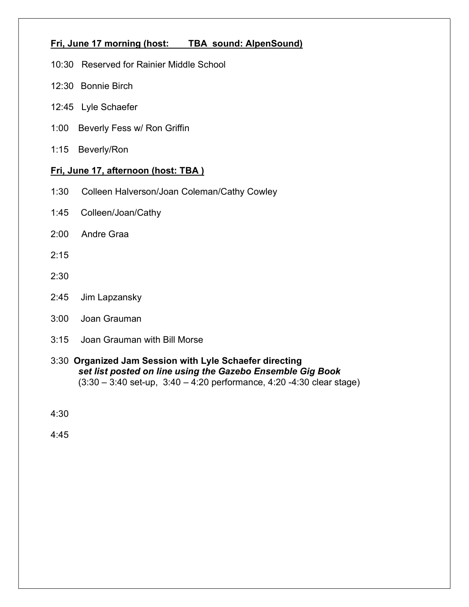## Fri, June 17 morning (host: TBA sound: AlpenSound)

- 10:30 Reserved for Rainier Middle School
- 12:30 Bonnie Birch
- 12:45 Lyle Schaefer
- 1:00 Beverly Fess w/ Ron Griffin
- 1:15 Beverly/Ron

#### Fri, June 17, afternoon (host: TBA)

- 1:30 Colleen Halverson/Joan Coleman/Cathy Cowley
- 1:45 Colleen/Joan/Cathy
- 2:00 Andre Graa
- $2.15$
- 2:30
- 2:45 Jim Lapzansky
- 3:00 Joan Grauman
- 3:15 Joan Grauman with Bill Morse
- 3:30 Organized Jam Session with Lyle Schaefer directing set list posted on line using the Gazebo Ensemble Gig Book  $(3:30 - 3:40 \text{ set-up}, 3:40 - 4:20 \text{ performance}, 4:20 - 4:30 \text{ clear stage})$

4:30

4:45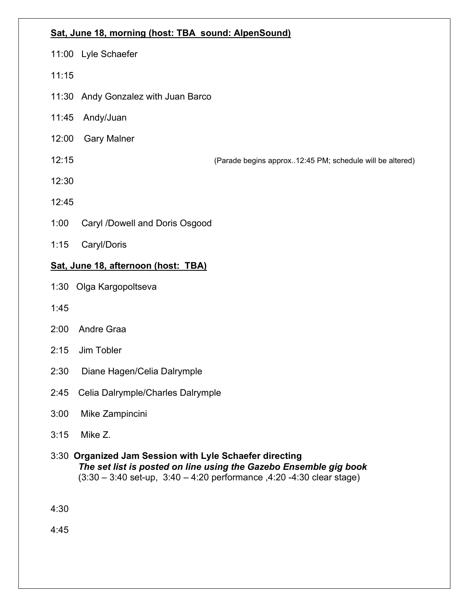#### Sat, June 18, morning (host: TBA sound: AlpenSound)

- 11:00 Lyle Schaefer
- 11:15
- 11:30 Andy Gonzalez with Juan Barco
- 11:45 Andy/Juan
- 12:00 Gary Malner
- 

12:15 (Parade begins approx..12:45 PM; schedule will be altered)

- 12:30
- 12:45
- 1:00 Caryl /Dowell and Doris Osgood
- 1:15 Caryl/Doris

## Sat, June 18, afternoon (host: TBA)

- 1:30 Olga Kargopoltseva
- 1:45
- 2:00 Andre Graa
- 2:15 Jim Tobler
- 2:30 Diane Hagen/Celia Dalrymple
- 2:45 Celia Dalrymple/Charles Dalrymple
- 3:00 Mike Zampincini
- 3:15 Mike Z.
- 3:30 Organized Jam Session with Lyle Schaefer directing The set list is posted on line using the Gazebo Ensemble gig book  $(3:30 - 3:40 \text{ set-up}, 3:40 - 4:20 \text{ performance}, 4:20 - 4:30 \text{ clear stage})$

4:30

4:45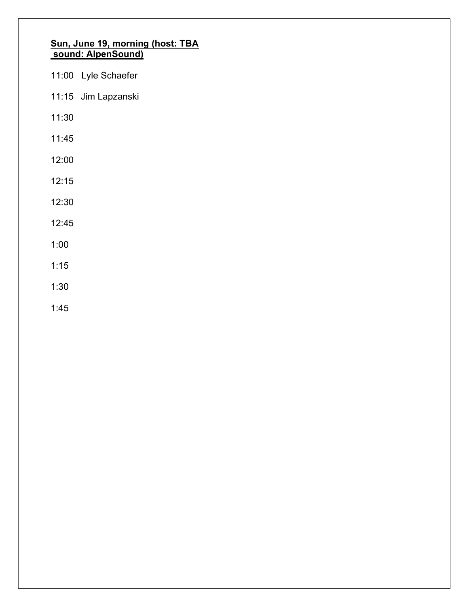#### Sun, June 19, morning (host: TBA sound: AlpenSound)

|       | 11:00 Lyle Schaefer |
|-------|---------------------|
|       | 11:15 Jim Lapzanski |
| 11:30 |                     |
| 11:45 |                     |
| 12:00 |                     |
| 12:15 |                     |
| 12:30 |                     |
| 12:45 |                     |
| 1:00  |                     |
|       |                     |

- 1:15
- 1:30
- 1:45